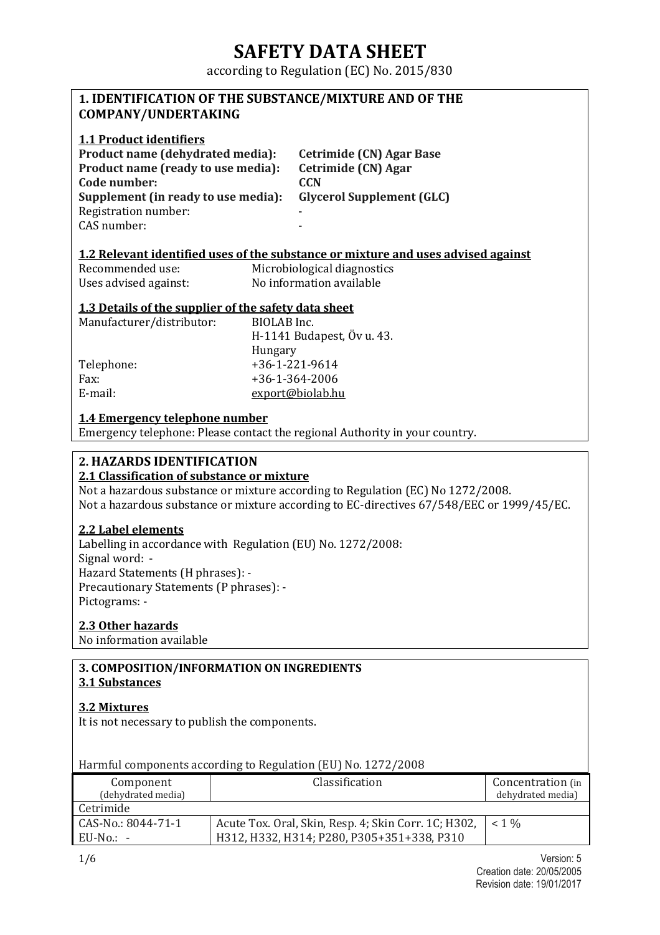according to Regulation (EC) No. 2015/830

### **1. IDENTIFICATION OF THE SUBSTANCE/MIXTURE AND OF THE COMPANY/UNDERTAKING**

### **1.1 Product identifiers**

**Product name (dehydrated media): Cetrimide (CN) Agar Base Product name (ready to use media): Cetrimide (CN) Agar Code number: CCN Supplement (in ready to use media): Glycerol Supplement (GLC)**  Registration number: CAS number:

### **1.2 Relevant identified uses of the substance or mixture and uses advised against**

| Recommended use:      | Microbiological diagnostics |
|-----------------------|-----------------------------|
| Uses advised against: | No information available    |

### **1.3 Details of the supplier of the safety data sheet**

| Manufacturer/distributor: | BIOLAB Inc.                |
|---------------------------|----------------------------|
|                           | H-1141 Budapest, Öv u. 43. |
|                           | Hungary                    |
| Telephone:                | $+36-1-221-9614$           |
| Fax:                      | $+36 - 1 - 364 - 2006$     |
| E-mail:                   | export@biolab.hu           |

### **1.4 Emergency telephone number**

Emergency telephone: Please contact the regional Authority in your country.

## **2. HAZARDS IDENTIFICATION**

### **2.1 Classification of substance or mixture**

Not a hazardous substance or mixture according to Regulation (EC) No 1272/2008. Not a hazardous substance or mixture according to EC-directives 67/548/EEC or 1999/45/EC.

### **2.2 Label elements**

Labelling in accordance with Regulation (EU) No. 1272/2008: Signal word: - Hazard Statements (H phrases): - Precautionary Statements (P phrases): - Pictograms: -

### **2.3 Other hazards**

No information available

### **3. COMPOSITION/INFORMATION ON INGREDIENTS 3.1 Substances**

### **3.2 Mixtures**

It is not necessary to publish the components.

Harmful components according to Regulation (EU) No. 1272/2008

| Component          | Classification                                       | Concentration (in |
|--------------------|------------------------------------------------------|-------------------|
| (dehydrated media) |                                                      | dehydrated media) |
| Cetrimide          |                                                      |                   |
| CAS-No.: 8044-71-1 | Acute Tox. Oral, Skin, Resp. 4; Skin Corr. 1C; H302, | $< 1\%$           |
| EU-No.: -          | H312, H332, H314; P280, P305+351+338, P310           |                   |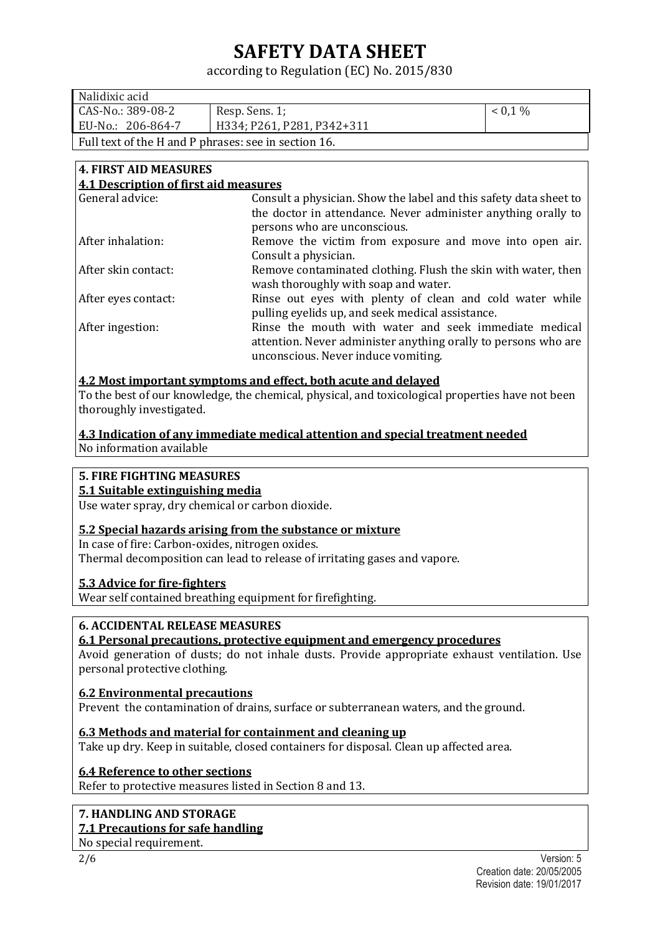## according to Regulation (EC) No. 2015/830

| Nalidixic acid                                       |                            |         |
|------------------------------------------------------|----------------------------|---------|
| CAS-No.: 389-08-2                                    | Resp. Sens. 1;             | $0.1\%$ |
| EU-No.: 206-864-7                                    | H334; P261, P281, P342+311 |         |
| Full text of the H and P phrases: see in section 16. |                            |         |

#### **4. FIRST AID MEASURES 4.1 Description of first aid measures**

| 7.1 Description of thist and ineasures                            |
|-------------------------------------------------------------------|
| Consult a physician. Show the label and this safety data sheet to |
| the doctor in attendance. Never administer anything orally to     |
| persons who are unconscious.                                      |
| Remove the victim from exposure and move into open air.           |
| Consult a physician.                                              |
| Remove contaminated clothing. Flush the skin with water, then     |
| wash thoroughly with soap and water.                              |
| Rinse out eyes with plenty of clean and cold water while          |
| pulling eyelids up, and seek medical assistance.                  |
| Rinse the mouth with water and seek immediate medical             |
| attention. Never administer anything orally to persons who are    |
| unconscious. Never induce vomiting.                               |
|                                                                   |

### **4.2 Most important symptoms and effect, both acute and delayed**

To the best of our knowledge, the chemical, physical, and toxicological properties have not been thoroughly investigated.

### **4.3 Indication of any immediate medical attention and special treatment needed**  No information available

### **5. FIRE FIGHTING MEASURES**

### **5.1 Suitable extinguishing media**

Use water spray, dry chemical or carbon dioxide.

### **5.2 Special hazards arising from the substance or mixture**

In case of fire: Carbon-oxides, nitrogen oxides. Thermal decomposition can lead to release of irritating gases and vapore.

### **5.3 Advice for fire-fighters**

Wear self contained breathing equipment for firefighting.

### **6. ACCIDENTAL RELEASE MEASURES**

### **6.1 Personal precautions, protective equipment and emergency procedures**

Avoid generation of dusts; do not inhale dusts. Provide appropriate exhaust ventilation. Use personal protective clothing.

### **6.2 Environmental precautions**

Prevent the contamination of drains, surface or subterranean waters, and the ground.

### **6.3 Methods and material for containment and cleaning up**

Take up dry. Keep in suitable, closed containers for disposal. Clean up affected area.

### **6.4 Reference to other sections**

Refer to protective measures listed in Section 8 and 13.

### **7. HANDLING AND STORAGE**

### **7.1 Precautions for safe handling**

No special requirement.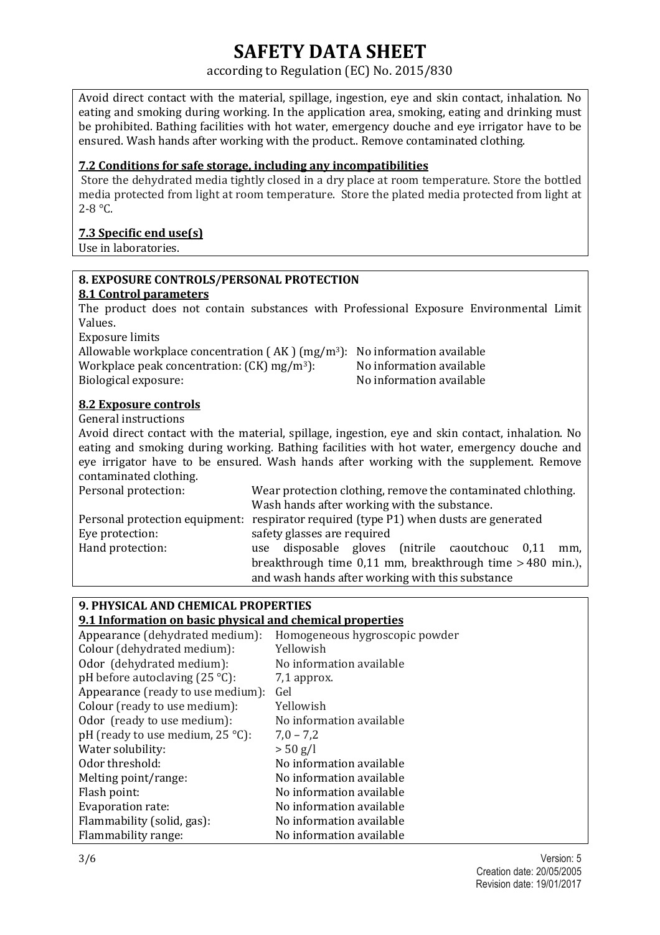### according to Regulation (EC) No. 2015/830

Avoid direct contact with the material, spillage, ingestion, eye and skin contact, inhalation. No eating and smoking during working. In the application area, smoking, eating and drinking must be prohibited. Bathing facilities with hot water, emergency douche and eye irrigator have to be ensured. Wash hands after working with the product.. Remove contaminated clothing.

### **7.2 Conditions for safe storage, including any incompatibilities**

Store the dehydrated media tightly closed in a dry place at room temperature. Store the bottled media protected from light at room temperature. Store the plated media protected from light at 2-8 °C.

### **7.3 Specific end use(s)**

Use in laboratories.

## **8. EXPOSURE CONTROLS/PERSONAL PROTECTION**

### **8.1 Control parameters**

The product does not contain substances with Professional Exposure Environmental Limit Values.

Exposure limits

Allowable workplace concentration  $(AK)$  (mg/m<sup>3</sup>): No information available Workplace peak concentration:  $(CK)$  mg/m<sup>3</sup>): No information available Biological exposure: No information available

### **8.2 Exposure controls**

General instructions

Avoid direct contact with the material, spillage, ingestion, eye and skin contact, inhalation. No eating and smoking during working. Bathing facilities with hot water, emergency douche and eye irrigator have to be ensured. Wash hands after working with the supplement. Remove contaminated clothing.

| Personal protection: | Wear protection clothing, remove the contaminated chlothing.                          |
|----------------------|---------------------------------------------------------------------------------------|
|                      | Wash hands after working with the substance.                                          |
|                      | Personal protection equipment: respirator required (type P1) when dusts are generated |
| Eye protection:      | safety glasses are required                                                           |
| Hand protection:     | use disposable gloves (nitrile caoutchouc 0,11<br>mm.                                 |
|                      | breakthrough time $0,11$ mm, breakthrough time $> 480$ min.),                         |
|                      | and wash hands after working with this substance                                      |

### **9. PHYSICAL AND CHEMICAL PROPERTIES 9.1 Information on basic physical and chemical properties**  Appearance (dehydrated medium): Homogeneous hygroscopic powder Colour (dehydrated medium): Yellowish Odor (dehydrated medium): No information available pH before autoclaving  $(25 \degree C)$ : 7,1 approx. Appearance (ready to use medium): Gel Colour (ready to use medium): Yellowish Odor (ready to use medium): No information available pH (ready to use medium,  $25^{\circ}$ C):  $7.0 - 7.2$ Water solubility:  $> 50 g/l$ Odor threshold: No information available Melting point/range: No information available Flash point: No information available Evaporation rate: No information available Flammability (solid, gas): No information available Flammability range: No information available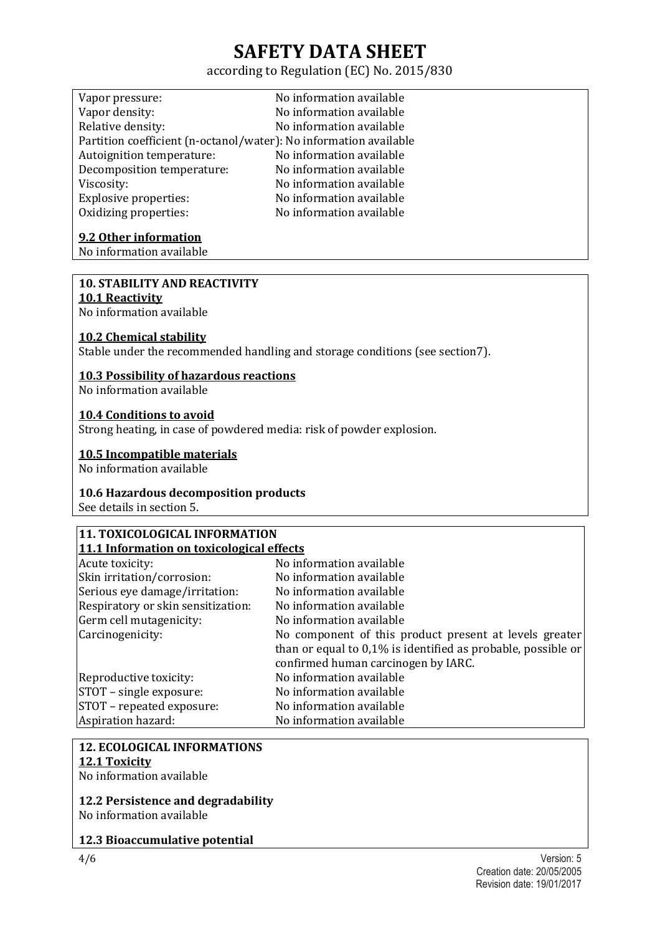## according to Regulation (EC) No. 2015/830

| Vapor pressure:                                                   | No information available |
|-------------------------------------------------------------------|--------------------------|
| Vapor density:                                                    | No information available |
| Relative density:                                                 | No information available |
| Partition coefficient (n-octanol/water): No information available |                          |
| Autoignition temperature:                                         | No information available |
| Decomposition temperature:                                        | No information available |
| Viscosity:                                                        | No information available |
| <b>Explosive properties:</b>                                      | No information available |
| Oxidizing properties:                                             | No information available |

### **9.2 Other information**

No information available

### **10. STABILITY AND REACTIVITY**

### **10.1 Reactivity**

No information available

### **10.2 Chemical stability**

Stable under the recommended handling and storage conditions (see section7).

### **10.3 Possibility of hazardous reactions**

No information available

### **10.4 Conditions to avoid**

Strong heating, in case of powdered media: risk of powder explosion.

### **10.5 Incompatible materials**

No information available

### **10.6 Hazardous decomposition products**

See details in section 5.

### **11. TOXICOLOGICAL INFORMATION 11.1 Information on toxicological effects**

| Acute toxicity:                    | No information available                                        |
|------------------------------------|-----------------------------------------------------------------|
| Skin irritation/corrosion:         | No information available                                        |
| Serious eye damage/irritation:     | No information available                                        |
| Respiratory or skin sensitization: | No information available                                        |
| Germ cell mutagenicity:            | No information available                                        |
| Carcinogenicity:                   | No component of this product present at levels greater          |
|                                    | than or equal to $0.1\%$ is identified as probable, possible or |
|                                    | confirmed human carcinogen by IARC.                             |
| Reproductive toxicity:             | No information available                                        |
| STOT – single exposure:            | No information available                                        |
| STOT – repeated exposure:          | No information available                                        |
| Aspiration hazard:                 | No information available                                        |

### **12. ECOLOGICAL INFORMATIONS 12.1 Toxicity**

No information available

## **12.2 Persistence and degradability**

No information available

### **12.3 Bioaccumulative potential**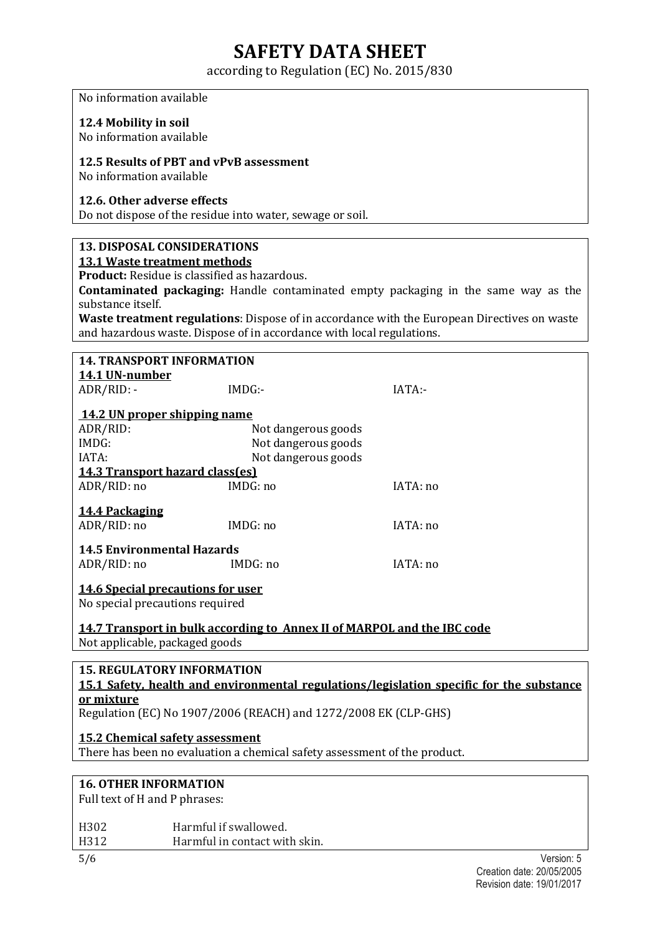according to Regulation (EC) No. 2015/830

No information available

### **12.4 Mobility in soil**

No information available

### **12.5 Results of PBT and vPvB assessment**

No information available

### **12.6. Other adverse effects**

Do not dispose of the residue into water, sewage or soil.

### **13. DISPOSAL CONSIDERATIONS 13.1 Waste treatment methods**

**Product:** Residue is classified as hazardous.

**Contaminated packaging:** Handle contaminated empty packaging in the same way as the substance itself.

**Waste treatment regulations**: Dispose of in accordance with the European Directives on waste and hazardous waste. Dispose of in accordance with local regulations.

| <b>14. TRANSPORT INFORMATION</b>                                                                                                     |                                                                         |          |
|--------------------------------------------------------------------------------------------------------------------------------------|-------------------------------------------------------------------------|----------|
| 14.1 UN-number                                                                                                                       |                                                                         |          |
| ADR/RID: -                                                                                                                           | $IMDG$ :-                                                               | IATA:-   |
| 14.2 UN proper shipping name                                                                                                         |                                                                         |          |
| ADR/RID:                                                                                                                             | Not dangerous goods                                                     |          |
| IMDG:                                                                                                                                | Not dangerous goods                                                     |          |
| IATA:                                                                                                                                | Not dangerous goods                                                     |          |
| <b>14.3 Transport hazard class(es)</b>                                                                                               |                                                                         |          |
| ADR/RID: no                                                                                                                          | IMDG: no                                                                | IATA: no |
| 14.4 Packaging<br>ADR/RID: no                                                                                                        | IMDG: no                                                                | IATA:no  |
| <b>14.5 Environmental Hazards</b>                                                                                                    |                                                                         |          |
| ADR/RID: no                                                                                                                          | IMDG: no                                                                | IATA: no |
| <b>14.6 Special precautions for user</b><br>No special precautions required                                                          |                                                                         |          |
|                                                                                                                                      | 14.7 Transport in bulk according to Annex II of MARPOL and the IBC code |          |
| Not applicable, packaged goods                                                                                                       |                                                                         |          |
|                                                                                                                                      |                                                                         |          |
| <b>15. REGULATORY INFORMATION</b><br><u>15.1 Safety, health and environmental regulations/legislation specific for the substance</u> |                                                                         |          |

### **or mixture**

Regulation (EC) No 1907/2006 (REACH) and 1272/2008 EK (CLP-GHS)

### **15.2 Chemical safety assessment**

There has been no evaluation a chemical safety assessment of the product.

### **16. OTHER INFORMATION**

Full text of H and P phrases:

| H302 | Harmful if swallowed.         |
|------|-------------------------------|
| H312 | Harmful in contact with skin. |